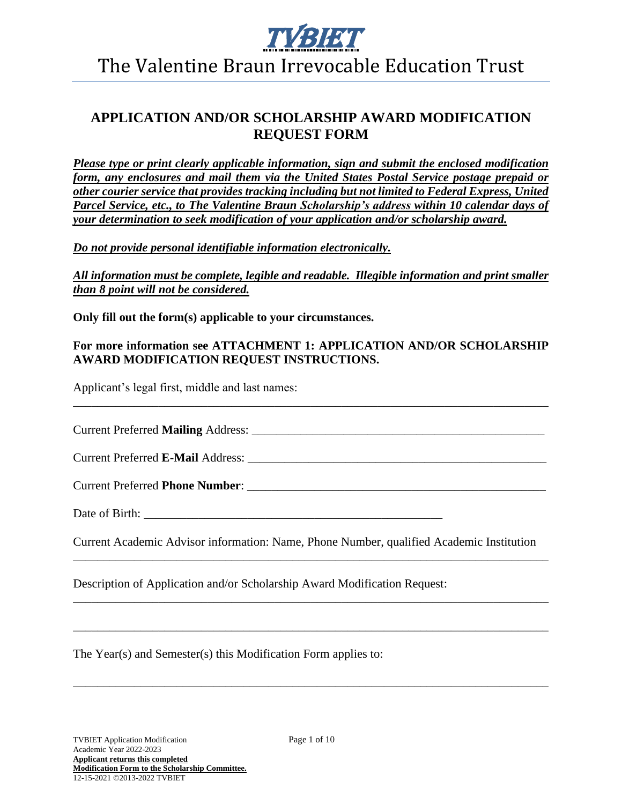

## **APPLICATION AND/OR SCHOLARSHIP AWARD MODIFICATION REQUEST FORM**

*Please type or print clearly applicable information, sign and submit the enclosed modification form, any enclosures and mail them via the United States Postal Service postage prepaid or other courier service that provides tracking including but not limited to Federal Express, United Parcel Service, etc., to The Valentine Braun Scholarship's address within 10 calendar days of your determination to seek modification of your application and/or scholarship award.*

*Do not provide personal identifiable information electronically.*

*All information must be complete, legible and readable. Illegible information and print smaller than 8 point will not be considered.*

**Only fill out the form(s) applicable to your circumstances.**

#### **For more information see ATTACHMENT 1: APPLICATION AND/OR SCHOLARSHIP AWARD MODIFICATION REQUEST INSTRUCTIONS.**

\_\_\_\_\_\_\_\_\_\_\_\_\_\_\_\_\_\_\_\_\_\_\_\_\_\_\_\_\_\_\_\_\_\_\_\_\_\_\_\_\_\_\_\_\_\_\_\_\_\_\_\_\_\_\_\_\_\_\_\_\_\_\_\_\_\_\_\_\_\_\_\_\_\_\_\_\_\_

Applicant's legal first, middle and last names:

Current Preferred **Mailing** Address: \_\_\_\_\_\_\_\_\_\_\_\_\_\_\_\_\_\_\_\_\_\_\_\_\_\_\_\_\_\_\_\_\_\_\_\_\_\_\_\_\_\_\_\_\_\_\_\_

Current Preferred **E-Mail** Address:

Current Preferred **Phone Number**: \_\_\_\_\_\_\_\_\_\_\_\_\_\_\_\_\_\_\_\_\_\_\_\_\_\_\_\_\_\_\_\_\_\_\_\_\_\_\_\_\_\_\_\_\_\_\_\_\_

Date of Birth:

Current Academic Advisor information: Name, Phone Number, qualified Academic Institution \_\_\_\_\_\_\_\_\_\_\_\_\_\_\_\_\_\_\_\_\_\_\_\_\_\_\_\_\_\_\_\_\_\_\_\_\_\_\_\_\_\_\_\_\_\_\_\_\_\_\_\_\_\_\_\_\_\_\_\_\_\_\_\_\_\_\_\_\_\_\_\_\_\_\_\_\_\_

\_\_\_\_\_\_\_\_\_\_\_\_\_\_\_\_\_\_\_\_\_\_\_\_\_\_\_\_\_\_\_\_\_\_\_\_\_\_\_\_\_\_\_\_\_\_\_\_\_\_\_\_\_\_\_\_\_\_\_\_\_\_\_\_\_\_\_\_\_\_\_\_\_\_\_\_\_\_

\_\_\_\_\_\_\_\_\_\_\_\_\_\_\_\_\_\_\_\_\_\_\_\_\_\_\_\_\_\_\_\_\_\_\_\_\_\_\_\_\_\_\_\_\_\_\_\_\_\_\_\_\_\_\_\_\_\_\_\_\_\_\_\_\_\_\_\_\_\_\_\_\_\_\_\_\_\_

\_\_\_\_\_\_\_\_\_\_\_\_\_\_\_\_\_\_\_\_\_\_\_\_\_\_\_\_\_\_\_\_\_\_\_\_\_\_\_\_\_\_\_\_\_\_\_\_\_\_\_\_\_\_\_\_\_\_\_\_\_\_\_\_\_\_\_\_\_\_\_\_\_\_\_\_\_\_

Description of Application and/or Scholarship Award Modification Request:

The Year(s) and Semester(s) this Modification Form applies to: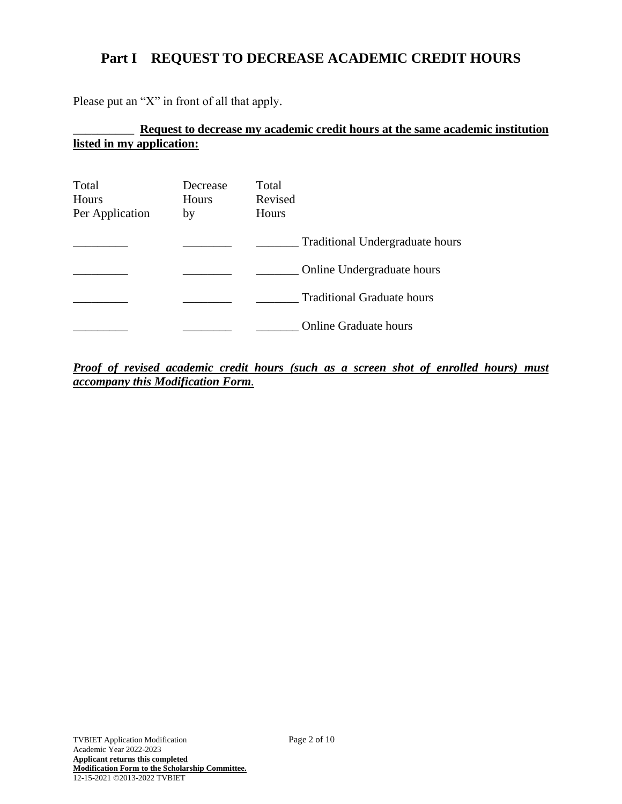## **Part I REQUEST TO DECREASE ACADEMIC CREDIT HOURS**

Please put an "X" in front of all that apply.

### \_\_\_\_\_\_\_\_\_\_ **Request to decrease my academic credit hours at the same academic institution listed in my application:**

| Total<br>Hours<br>Per Application | Decrease<br>Hours<br>by | Total<br>Revised<br>Hours         |
|-----------------------------------|-------------------------|-----------------------------------|
|                                   |                         | Traditional Undergraduate hours   |
|                                   |                         | Online Undergraduate hours        |
|                                   |                         | <b>Traditional Graduate hours</b> |
|                                   |                         | <b>Online Graduate hours</b>      |

*Proof of revised academic credit hours (such as a screen shot of enrolled hours) must accompany this Modification Form.*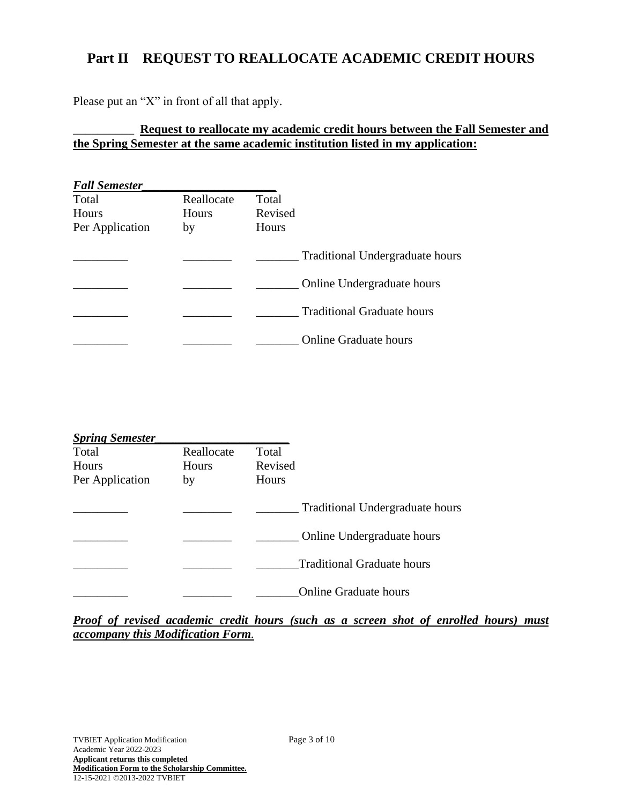## **Part II REQUEST TO REALLOCATE ACADEMIC CREDIT HOURS**

Please put an "X" in front of all that apply.

#### \_\_\_\_\_\_\_\_\_\_ **Request to reallocate my academic credit hours between the Fall Semester and the Spring Semester at the same academic institution listed in my application:**

| <b>Fall Semester</b> |              |                                        |
|----------------------|--------------|----------------------------------------|
| Total                | Reallocate   | Total                                  |
| Hours                | <b>Hours</b> | Revised                                |
| Per Application      | by           | Hours                                  |
|                      |              | <b>Traditional Undergraduate hours</b> |
|                      |              | Online Undergraduate hours             |
|                      |              | <b>Traditional Graduate hours</b>      |
|                      |              | <b>Online Graduate hours</b>           |

| <b>Spring Semester</b> |            |                                        |
|------------------------|------------|----------------------------------------|
| Total                  | Reallocate | Total                                  |
| Hours                  | Hours      | Revised                                |
| Per Application        | by         | <b>Hours</b>                           |
|                        |            | <b>Traditional Undergraduate hours</b> |
|                        |            | Online Undergraduate hours             |
|                        |            | <b>Traditional Graduate hours</b>      |
|                        |            | <b>Online Graduate hours</b>           |

*Proof of revised academic credit hours (such as a screen shot of enrolled hours) must accompany this Modification Form.*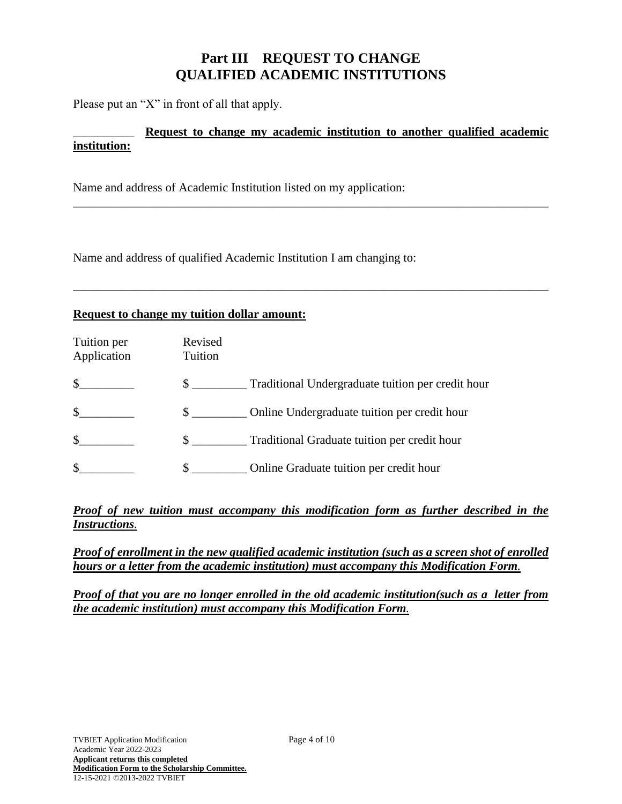## **Part III REQUEST TO CHANGE QUALIFIED ACADEMIC INSTITUTIONS**

Please put an "X" in front of all that apply.

#### \_\_\_\_\_\_\_\_\_\_ **Request to change my academic institution to another qualified academic institution:**

\_\_\_\_\_\_\_\_\_\_\_\_\_\_\_\_\_\_\_\_\_\_\_\_\_\_\_\_\_\_\_\_\_\_\_\_\_\_\_\_\_\_\_\_\_\_\_\_\_\_\_\_\_\_\_\_\_\_\_\_\_\_\_\_\_\_\_\_\_\_\_\_\_\_\_\_\_\_

\_\_\_\_\_\_\_\_\_\_\_\_\_\_\_\_\_\_\_\_\_\_\_\_\_\_\_\_\_\_\_\_\_\_\_\_\_\_\_\_\_\_\_\_\_\_\_\_\_\_\_\_\_\_\_\_\_\_\_\_\_\_\_\_\_\_\_\_\_\_\_\_\_\_\_\_\_\_

Name and address of Academic Institution listed on my application:

Name and address of qualified Academic Institution I am changing to:

#### **Request to change my tuition dollar amount:**

| Tuition per<br>Application | Revised<br>Tuition            |                                                   |
|----------------------------|-------------------------------|---------------------------------------------------|
| $\mathbb{S}$               | $\mathbb{S}$ and $\mathbb{S}$ | Traditional Undergraduate tuition per credit hour |
| \$                         | $\mathbb{S}$                  | Online Undergraduate tuition per credit hour      |
| $\mathcal{S}$              | $\mathbb{S}$                  | Traditional Graduate tuition per credit hour      |
|                            | \$                            | Online Graduate tuition per credit hour           |

#### *Proof of new tuition must accompany this modification form as further described in the Instructions.*

*Proof of enrollment in the new qualified academic institution (such as a screen shot of enrolled hours or a letter from the academic institution) must accompany this Modification Form.*

*Proof of that you are no longer enrolled in the old academic institution(such as a letter from the academic institution) must accompany this Modification Form.*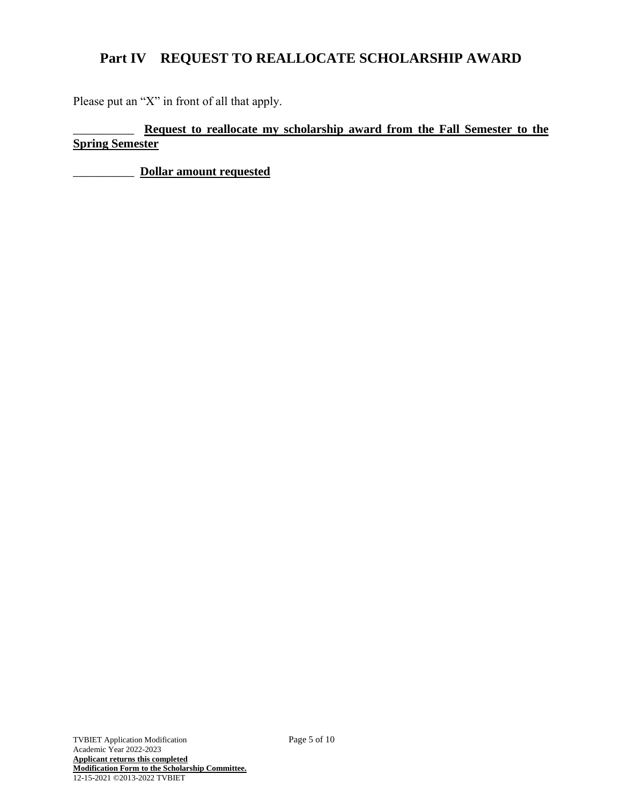# **Part IV REQUEST TO REALLOCATE SCHOLARSHIP AWARD**

Please put an "X" in front of all that apply.

\_\_\_\_\_\_\_\_\_\_ **Request to reallocate my scholarship award from the Fall Semester to the Spring Semester**

\_\_\_\_\_\_\_\_\_\_ **Dollar amount requested**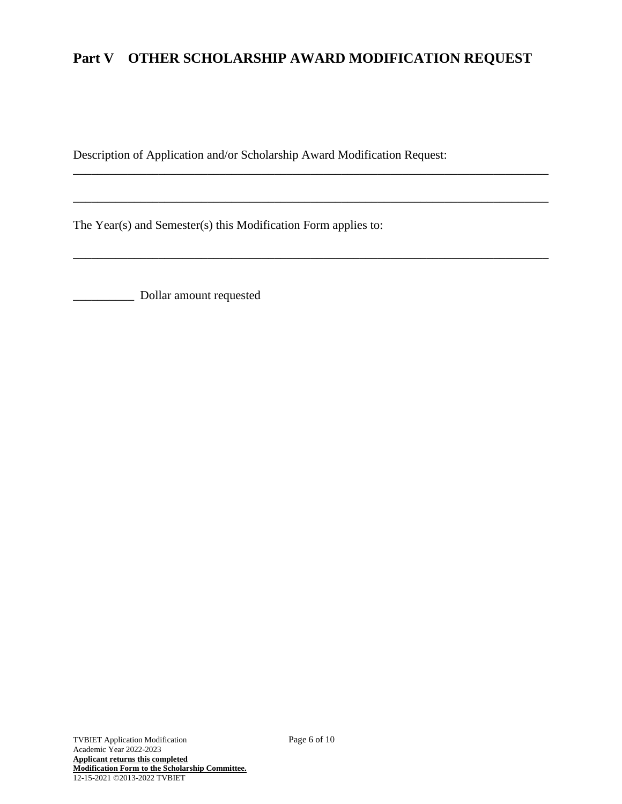# **Part V OTHER SCHOLARSHIP AWARD MODIFICATION REQUEST**

\_\_\_\_\_\_\_\_\_\_\_\_\_\_\_\_\_\_\_\_\_\_\_\_\_\_\_\_\_\_\_\_\_\_\_\_\_\_\_\_\_\_\_\_\_\_\_\_\_\_\_\_\_\_\_\_\_\_\_\_\_\_\_\_\_\_\_\_\_\_\_\_\_\_\_\_\_\_

\_\_\_\_\_\_\_\_\_\_\_\_\_\_\_\_\_\_\_\_\_\_\_\_\_\_\_\_\_\_\_\_\_\_\_\_\_\_\_\_\_\_\_\_\_\_\_\_\_\_\_\_\_\_\_\_\_\_\_\_\_\_\_\_\_\_\_\_\_\_\_\_\_\_\_\_\_\_

\_\_\_\_\_\_\_\_\_\_\_\_\_\_\_\_\_\_\_\_\_\_\_\_\_\_\_\_\_\_\_\_\_\_\_\_\_\_\_\_\_\_\_\_\_\_\_\_\_\_\_\_\_\_\_\_\_\_\_\_\_\_\_\_\_\_\_\_\_\_\_\_\_\_\_\_\_\_

Description of Application and/or Scholarship Award Modification Request:

The Year(s) and Semester(s) this Modification Form applies to:

\_\_\_\_\_\_\_\_\_\_ Dollar amount requested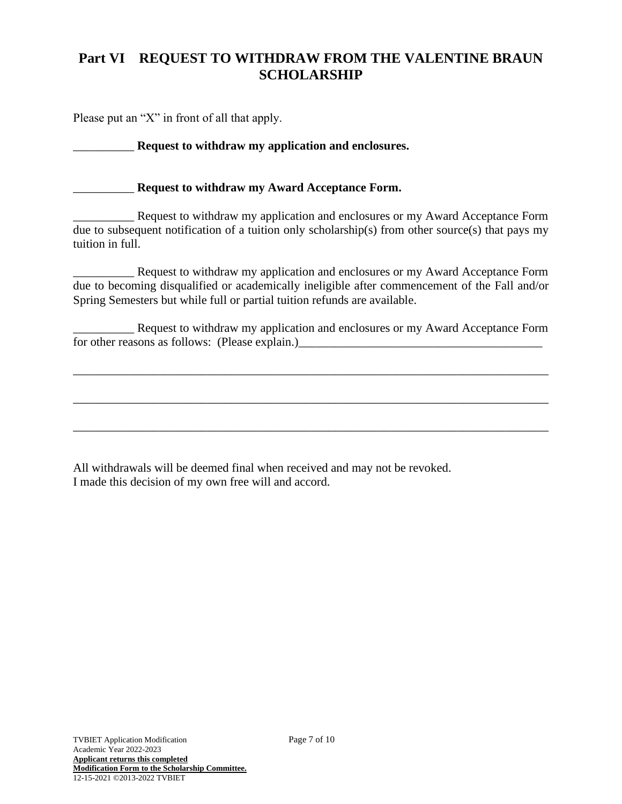## **Part VI REQUEST TO WITHDRAW FROM THE VALENTINE BRAUN SCHOLARSHIP**

Please put an "X" in front of all that apply.

#### \_\_\_\_\_\_\_\_\_\_ **Request to withdraw my application and enclosures.**

#### \_\_\_\_\_\_\_\_\_\_ **Request to withdraw my Award Acceptance Form.**

**EXECUTE:** Request to withdraw my application and enclosures or my Award Acceptance Form due to subsequent notification of a tuition only scholarship(s) from other source(s) that pays my tuition in full.

\_\_\_\_\_\_\_\_\_\_ Request to withdraw my application and enclosures or my Award Acceptance Form due to becoming disqualified or academically ineligible after commencement of the Fall and/or Spring Semesters but while full or partial tuition refunds are available.

\_\_\_\_\_\_\_\_\_\_ Request to withdraw my application and enclosures or my Award Acceptance Form for other reasons as follows: (Please explain.)

\_\_\_\_\_\_\_\_\_\_\_\_\_\_\_\_\_\_\_\_\_\_\_\_\_\_\_\_\_\_\_\_\_\_\_\_\_\_\_\_\_\_\_\_\_\_\_\_\_\_\_\_\_\_\_\_\_\_\_\_\_\_\_\_\_\_\_\_\_\_\_\_\_\_\_\_\_\_

\_\_\_\_\_\_\_\_\_\_\_\_\_\_\_\_\_\_\_\_\_\_\_\_\_\_\_\_\_\_\_\_\_\_\_\_\_\_\_\_\_\_\_\_\_\_\_\_\_\_\_\_\_\_\_\_\_\_\_\_\_\_\_\_\_\_\_\_\_\_\_\_\_\_\_\_\_\_

\_\_\_\_\_\_\_\_\_\_\_\_\_\_\_\_\_\_\_\_\_\_\_\_\_\_\_\_\_\_\_\_\_\_\_\_\_\_\_\_\_\_\_\_\_\_\_\_\_\_\_\_\_\_\_\_\_\_\_\_\_\_\_\_\_\_\_\_\_\_\_\_\_\_\_\_\_\_

All withdrawals will be deemed final when received and may not be revoked. I made this decision of my own free will and accord.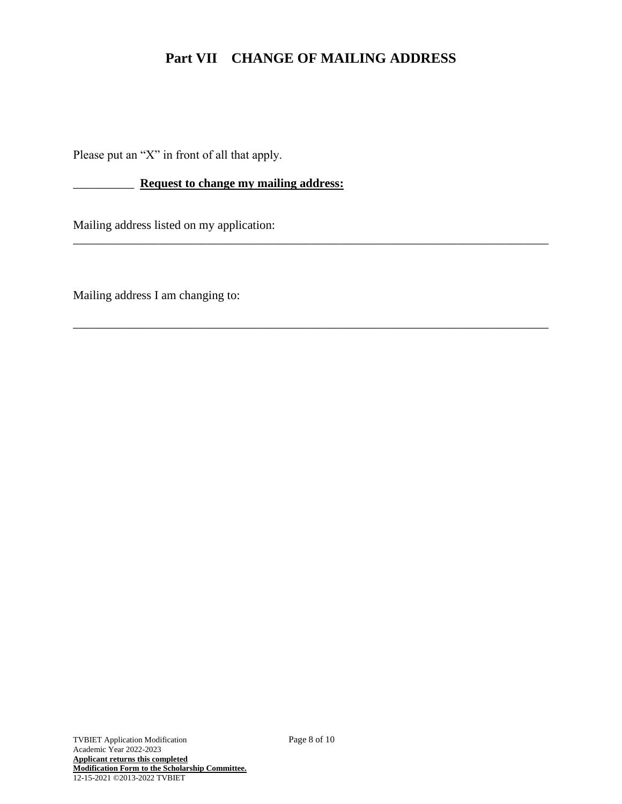## **Part VII CHANGE OF MAILING ADDRESS**

\_\_\_\_\_\_\_\_\_\_\_\_\_\_\_\_\_\_\_\_\_\_\_\_\_\_\_\_\_\_\_\_\_\_\_\_\_\_\_\_\_\_\_\_\_\_\_\_\_\_\_\_\_\_\_\_\_\_\_\_\_\_\_\_\_\_\_\_\_\_\_\_\_\_\_\_\_\_

\_\_\_\_\_\_\_\_\_\_\_\_\_\_\_\_\_\_\_\_\_\_\_\_\_\_\_\_\_\_\_\_\_\_\_\_\_\_\_\_\_\_\_\_\_\_\_\_\_\_\_\_\_\_\_\_\_\_\_\_\_\_\_\_\_\_\_\_\_\_\_\_\_\_\_\_\_\_

Please put an "X" in front of all that apply.

\_\_\_\_\_\_\_\_\_\_ **Request to change my mailing address:**

Mailing address listed on my application:

Mailing address I am changing to: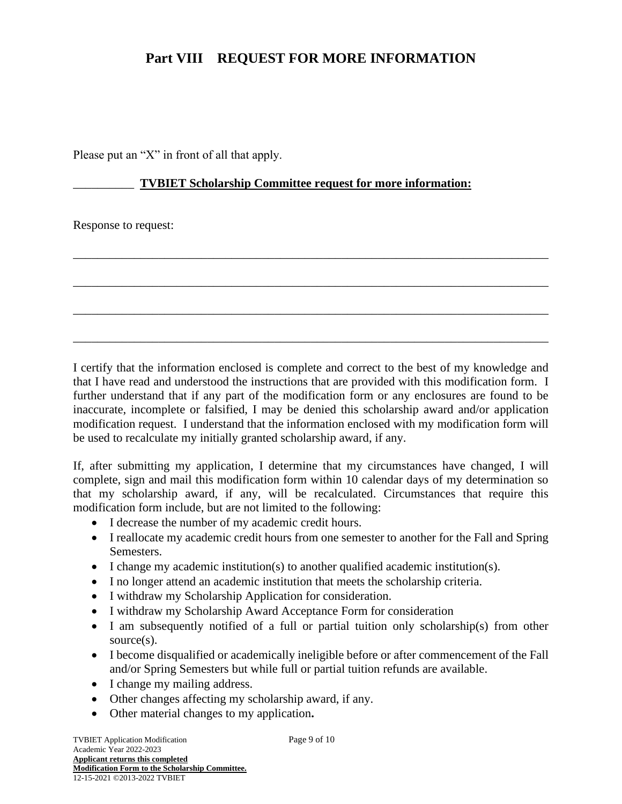### **Part VIII REQUEST FOR MORE INFORMATION**

Please put an "X" in front of all that apply.

#### \_\_\_\_\_\_\_\_\_\_ **TVBIET Scholarship Committee request for more information:**

\_\_\_\_\_\_\_\_\_\_\_\_\_\_\_\_\_\_\_\_\_\_\_\_\_\_\_\_\_\_\_\_\_\_\_\_\_\_\_\_\_\_\_\_\_\_\_\_\_\_\_\_\_\_\_\_\_\_\_\_\_\_\_\_\_\_\_\_\_\_\_\_\_\_\_\_\_\_

\_\_\_\_\_\_\_\_\_\_\_\_\_\_\_\_\_\_\_\_\_\_\_\_\_\_\_\_\_\_\_\_\_\_\_\_\_\_\_\_\_\_\_\_\_\_\_\_\_\_\_\_\_\_\_\_\_\_\_\_\_\_\_\_\_\_\_\_\_\_\_\_\_\_\_\_\_\_

\_\_\_\_\_\_\_\_\_\_\_\_\_\_\_\_\_\_\_\_\_\_\_\_\_\_\_\_\_\_\_\_\_\_\_\_\_\_\_\_\_\_\_\_\_\_\_\_\_\_\_\_\_\_\_\_\_\_\_\_\_\_\_\_\_\_\_\_\_\_\_\_\_\_\_\_\_\_

\_\_\_\_\_\_\_\_\_\_\_\_\_\_\_\_\_\_\_\_\_\_\_\_\_\_\_\_\_\_\_\_\_\_\_\_\_\_\_\_\_\_\_\_\_\_\_\_\_\_\_\_\_\_\_\_\_\_\_\_\_\_\_\_\_\_\_\_\_\_\_\_\_\_\_\_\_\_

Response to request:

I certify that the information enclosed is complete and correct to the best of my knowledge and that I have read and understood the instructions that are provided with this modification form. I further understand that if any part of the modification form or any enclosures are found to be inaccurate, incomplete or falsified, I may be denied this scholarship award and/or application modification request. I understand that the information enclosed with my modification form will be used to recalculate my initially granted scholarship award, if any.

If, after submitting my application, I determine that my circumstances have changed, I will complete, sign and mail this modification form within 10 calendar days of my determination so that my scholarship award, if any, will be recalculated. Circumstances that require this modification form include, but are not limited to the following:

- I decrease the number of my academic credit hours.
- I reallocate my academic credit hours from one semester to another for the Fall and Spring Semesters.
- I change my academic institution(s) to another qualified academic institution(s).
- I no longer attend an academic institution that meets the scholarship criteria.
- I withdraw my Scholarship Application for consideration.
- I withdraw my Scholarship Award Acceptance Form for consideration
- I am subsequently notified of a full or partial tuition only scholarship(s) from other source(s).
- I become disqualified or academically ineligible before or after commencement of the Fall and/or Spring Semesters but while full or partial tuition refunds are available.
- I change my mailing address.
- Other changes affecting my scholarship award, if any.
- Other material changes to my application**.**